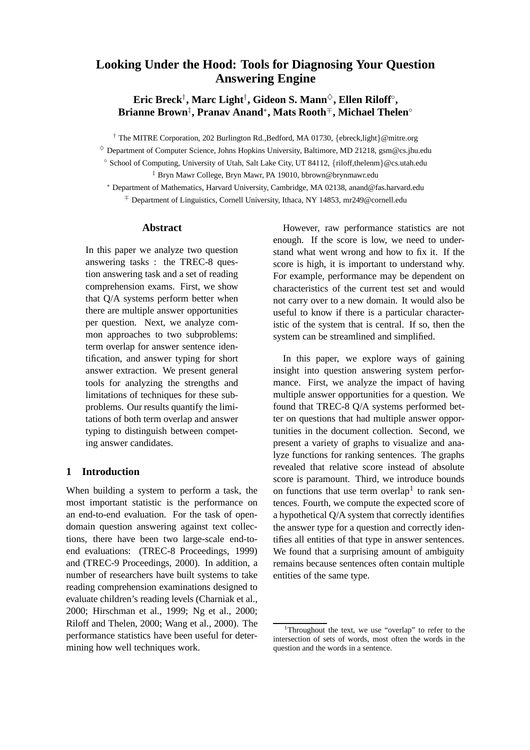# **Looking Under the Hood: Tools for Diagnosing Your Question Answering Engine**

**Eric Breck**† **, Marc Light**† **, Gideon S. Mann**♦**, Ellen Riloff**◦ **, Brianne Brown**‡ **, Pranav Anand**<sup>∗</sup> **, Mats Rooth**<sup>∓</sup>**, Michael Thelen**◦

† The MITRE Corporation, 202 Burlington Rd.,Bedford, MA 01730, {ebreck,light}@mitre.org

 $\Diamond$  Department of Computer Science, Johns Hopkins University, Baltimore, MD 21218, gsm@cs.jhu.edu

◦ School of Computing, University of Utah, Salt Lake City, UT 84112, {riloff,thelenm}@cs.utah.edu ‡ Bryn Mawr College, Bryn Mawr, PA 19010, bbrown@brynmawr.edu

<sup>∗</sup> Department of Mathematics, Harvard University, Cambridge, MA 02138, anand@fas.harvard.edu <sup>∓</sup> Department of Linguistics, Cornell University, Ithaca, NY 14853, mr249@cornell.edu

#### **Abstract**

In this paper we analyze two question answering tasks : the TREC-8 question answering task and a set of reading comprehension exams. First, we show that Q/A systems perform better when there are multiple answer opportunities per question. Next, we analyze common approaches to two subproblems: term overlap for answer sentence identification, and answer typing for short answer extraction. We present general tools for analyzing the strengths and limitations of techniques for these subproblems. Our results quantify the limitations of both term overlap and answer typing to distinguish between competing answer candidates.

### **1 Introduction**

When building a system to perform a task, the most important statistic is the performance on an end-to-end evaluation. For the task of opendomain question answering against text collections, there have been two large-scale end-toend evaluations: (TREC-8 Proceedings, 1999) and (TREC-9 Proceedings, 2000). In addition, a number of researchers have built systems to take reading comprehension examinations designed to evaluate children's reading levels (Charniak et al., 2000; Hirschman et al., 1999; Ng et al., 2000; Riloff and Thelen, 2000; Wang et al., 2000). The performance statistics have been useful for determining how well techniques work.

However, raw performance statistics are not enough. If the score is low, we need to understand what went wrong and how to fix it. If the score is high, it is important to understand why. For example, performance may be dependent on characteristics of the current test set and would not carry over to a new domain. It would also be useful to know if there is a particular characteristic of the system that is central. If so, then the system can be streamlined and simplified.

In this paper, we explore ways of gaining insight into question answering system performance. First, we analyze the impact of having multiple answer opportunities for a question. We found that TREC-8 Q/A systems performed better on questions that had multiple answer opportunities in the document collection. Second, we present a variety of graphs to visualize and analyze functions for ranking sentences. The graphs revealed that relative score instead of absolute score is paramount. Third, we introduce bounds on functions that use term overlap<sup>1</sup> to rank sentences. Fourth, we compute the expected score of a hypothetical Q/A system that correctly identifies the answer type for a question and correctly identifies all entities of that type in answer sentences. We found that a surprising amount of ambiguity remains because sentences often contain multiple entities of the same type.

<sup>&</sup>lt;sup>1</sup>Throughout the text, we use "overlap" to refer to the intersection of sets of words, most often the words in the question and the words in a sentence.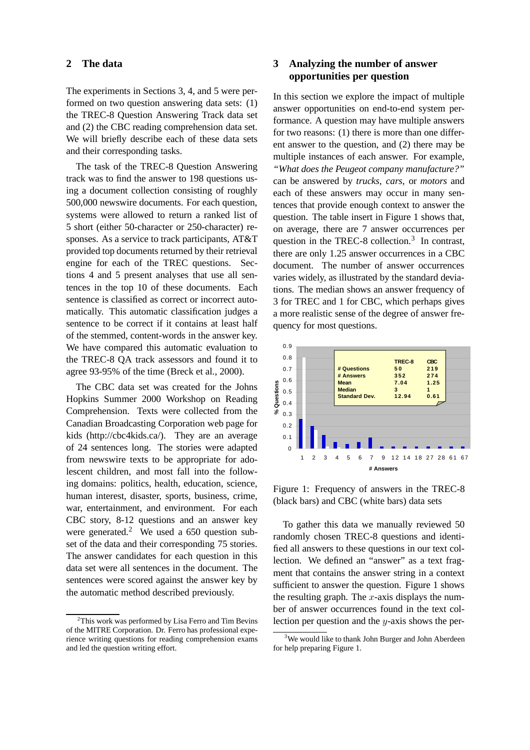#### **2 The data**

The experiments in Sections 3, 4, and 5 were performed on two question answering data sets: (1) the TREC-8 Question Answering Track data set and (2) the CBC reading comprehension data set. We will briefly describe each of these data sets and their corresponding tasks.

The task of the TREC-8 Question Answering track was to find the answer to 198 questions using a document collection consisting of roughly 500,000 newswire documents. For each question, systems were allowed to return a ranked list of 5 short (either 50-character or 250-character) responses. As a service to track participants, AT&T provided top documents returned by their retrieval engine for each of the TREC questions. Sections 4 and 5 present analyses that use all sentences in the top 10 of these documents. Each sentence is classified as correct or incorrect automatically. This automatic classification judges a sentence to be correct if it contains at least half of the stemmed, content-words in the answer key. We have compared this automatic evaluation to the TREC-8 QA track assessors and found it to agree 93-95% of the time (Breck et al., 2000).

The CBC data set was created for the Johns Hopkins Summer 2000 Workshop on Reading Comprehension. Texts were collected from the Canadian Broadcasting Corporation web page for kids (http://cbc4kids.ca/). They are an average of 24 sentences long. The stories were adapted from newswire texts to be appropriate for adolescent children, and most fall into the following domains: politics, health, education, science, human interest, disaster, sports, business, crime, war, entertainment, and environment. For each CBC story, 8-12 questions and an answer key were generated.<sup>2</sup> We used a 650 question subset of the data and their corresponding 75 stories. The answer candidates for each question in this data set were all sentences in the document. The sentences were scored against the answer key by the automatic method described previously.

## **3 Analyzing the number of answer opportunities per question**

In this section we explore the impact of multiple answer opportunities on end-to-end system performance. A question may have multiple answers for two reasons: (1) there is more than one different answer to the question, and (2) there may be multiple instances of each answer. For example, *"What does the Peugeot company manufacture?"* can be answered by *trucks*, *cars*, or *motors* and each of these answers may occur in many sentences that provide enough context to answer the question. The table insert in Figure 1 shows that, on average, there are 7 answer occurrences per question in the TREC-8 collection.<sup>3</sup> In contrast, there are only 1.25 answer occurrences in a CBC document. The number of answer occurrences varies widely, as illustrated by the standard deviations. The median shows an answer frequency of 3 for TREC and 1 for CBC, which perhaps gives a more realistic sense of the degree of answer frequency for most questions.



Figure 1: Frequency of answers in the TREC-8 (black bars) and CBC (white bars) data sets

To gather this data we manually reviewed 50 randomly chosen TREC-8 questions and identified all answers to these questions in our text collection. We defined an "answer" as a text fragment that contains the answer string in a context sufficient to answer the question. Figure 1 shows the resulting graph. The  $x$ -axis displays the number of answer occurrences found in the text collection per question and the y-axis shows the per-

<sup>&</sup>lt;sup>2</sup>This work was performed by Lisa Ferro and Tim Bevins of the MITRE Corporation. Dr. Ferro has professional experience writing questions for reading comprehension exams and led the question writing effort.

<sup>&</sup>lt;sup>3</sup>We would like to thank John Burger and John Aberdeen for help preparing Figure 1.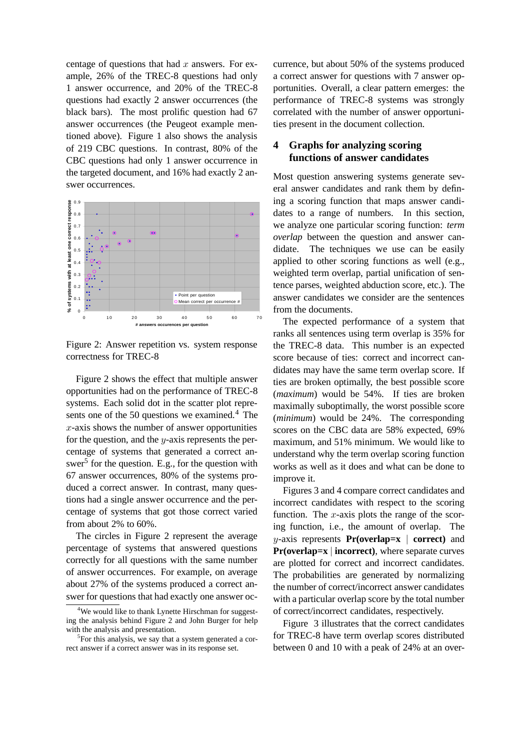centage of questions that had  $x$  answers. For example, 26% of the TREC-8 questions had only 1 answer occurrence, and 20% of the TREC-8 questions had exactly 2 answer occurrences (the black bars). The most prolific question had 67 answer occurrences (the Peugeot example mentioned above). Figure 1 also shows the analysis of 219 CBC questions. In contrast, 80% of the CBC questions had only 1 answer occurrence in the targeted document, and 16% had exactly 2 answer occurrences.



Figure 2: Answer repetition vs. system response correctness for TREC-8

Figure 2 shows the effect that multiple answer opportunities had on the performance of TREC-8 systems. Each solid dot in the scatter plot represents one of the 50 questions we examined.<sup>4</sup> The  $x$ -axis shows the number of answer opportunities for the question, and the  $y$ -axis represents the percentage of systems that generated a correct answer<sup>5</sup> for the question. E.g., for the question with 67 answer occurrences, 80% of the systems produced a correct answer. In contrast, many questions had a single answer occurrence and the percentage of systems that got those correct varied from about 2% to 60%.

The circles in Figure 2 represent the average percentage of systems that answered questions correctly for all questions with the same number of answer occurrences. For example, on average about 27% of the systems produced a correct answer for questions that had exactly one answer occurrence, but about 50% of the systems produced a correct answer for questions with 7 answer opportunities. Overall, a clear pattern emerges: the performance of TREC-8 systems was strongly correlated with the number of answer opportunities present in the document collection.

### **4 Graphs for analyzing scoring functions of answer candidates**

Most question answering systems generate several answer candidates and rank them by defining a scoring function that maps answer candidates to a range of numbers. In this section, we analyze one particular scoring function: *term overlap* between the question and answer candidate. The techniques we use can be easily applied to other scoring functions as well (e.g., weighted term overlap, partial unification of sentence parses, weighted abduction score, etc.). The answer candidates we consider are the sentences from the documents.

The expected performance of a system that ranks all sentences using term overlap is 35% for the TREC-8 data. This number is an expected score because of ties: correct and incorrect candidates may have the same term overlap score. If ties are broken optimally, the best possible score (*maximum*) would be 54%. If ties are broken maximally suboptimally, the worst possible score (*minimum*) would be 24%. The corresponding scores on the CBC data are 58% expected, 69% maximum, and 51% minimum. We would like to understand why the term overlap scoring function works as well as it does and what can be done to improve it.

Figures 3 and 4 compare correct candidates and incorrect candidates with respect to the scoring function. The x-axis plots the range of the scoring function, i.e., the amount of overlap. The y-axis represents **Pr(overlap=x** | **correct)** and **Pr(overlap=x** | **incorrect)**, where separate curves are plotted for correct and incorrect candidates. The probabilities are generated by normalizing the number of correct/incorrect answer candidates with a particular overlap score by the total number of correct/incorrect candidates, respectively.

Figure 3 illustrates that the correct candidates for TREC-8 have term overlap scores distributed between 0 and 10 with a peak of 24% at an over-

<sup>&</sup>lt;sup>4</sup>We would like to thank Lynette Hirschman for suggesting the analysis behind Figure 2 and John Burger for help with the analysis and presentation.

<sup>&</sup>lt;sup>5</sup>For this analysis, we say that a system generated a correct answer if a correct answer was in its response set.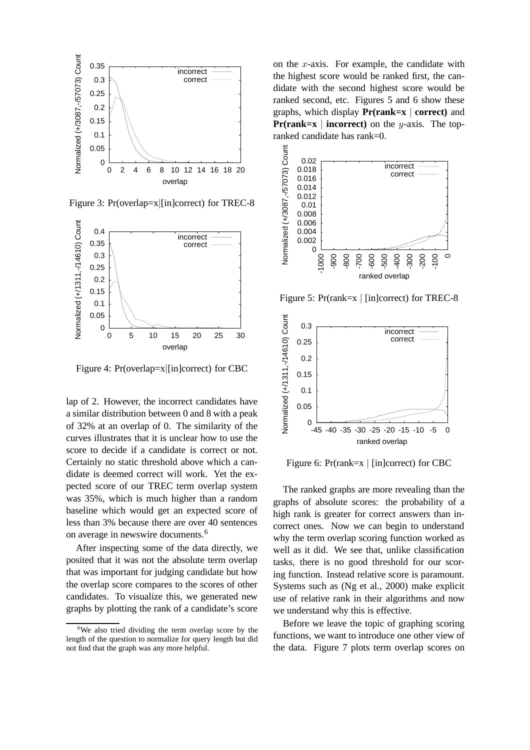

Figure 3: Pr(overlap=x|[in]correct) for TREC-8



Figure 4: Pr(overlap=x|[in]correct) for CBC

lap of 2. However, the incorrect candidates have a similar distribution between 0 and 8 with a peak of 32% at an overlap of 0. The similarity of the curves illustrates that it is unclear how to use the score to decide if a candidate is correct or not. Certainly no static threshold above which a candidate is deemed correct will work. Yet the expected score of our TREC term overlap system was 35%, which is much higher than a random baseline which would get an expected score of less than 3% because there are over 40 sentences on average in newswire documents.<sup>6</sup>

After inspecting some of the data directly, we posited that it was not the absolute term overlap that was important for judging candidate but how the overlap score compares to the scores of other candidates. To visualize this, we generated new graphs by plotting the rank of a candidate's score on the x-axis. For example, the candidate with the highest score would be ranked first, the candidate with the second highest score would be ranked second, etc. Figures 5 and 6 show these graphs, which display **Pr(rank=x** | **correct)** and **Pr(rank=x** | **incorrect**) on the y-axis. The topranked candidate has rank=0.



Figure 5: Pr(rank=x | [in]correct) for TREC-8



Figure 6: Pr(rank=x | [in]correct) for CBC

The ranked graphs are more revealing than the graphs of absolute scores: the probability of a high rank is greater for correct answers than incorrect ones. Now we can begin to understand why the term overlap scoring function worked as well as it did. We see that, unlike classification tasks, there is no good threshold for our scoring function. Instead relative score is paramount. Systems such as (Ng et al., 2000) make explicit use of relative rank in their algorithms and now we understand why this is effective.

Before we leave the topic of graphing scoring functions, we want to introduce one other view of the data. Figure 7 plots term overlap scores on

<sup>&</sup>lt;sup>6</sup>We also tried dividing the term overlap score by the length of the question to normalize for query length but did not find that the graph was any more helpful.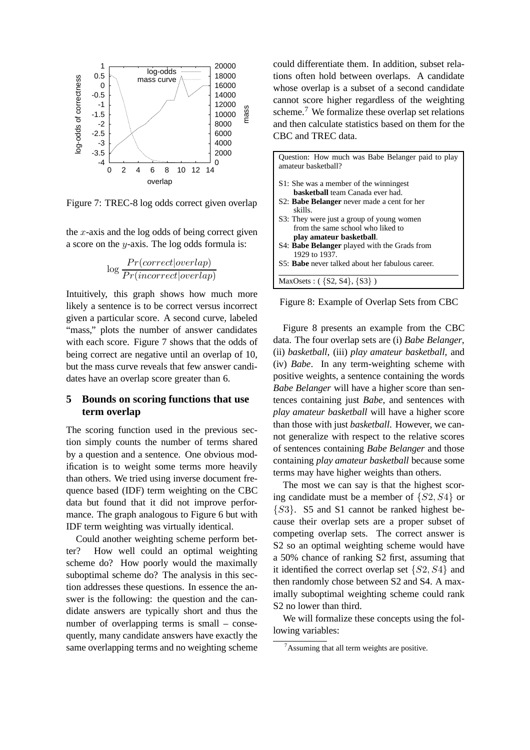

Figure 7: TREC-8 log odds correct given overlap

the  $x$ -axis and the log odds of being correct given a score on the y-axis. The log odds formula is:

$$
\log \frac{Pr(correct|overlap)}{Pr(incorrect|overlap)}
$$

Intuitively, this graph shows how much more likely a sentence is to be correct versus incorrect given a particular score. A second curve, labeled "mass," plots the number of answer candidates with each score. Figure 7 shows that the odds of being correct are negative until an overlap of 10, but the mass curve reveals that few answer candidates have an overlap score greater than 6.

#### **5 Bounds on scoring functions that use term overlap**

The scoring function used in the previous section simply counts the number of terms shared by a question and a sentence. One obvious modification is to weight some terms more heavily than others. We tried using inverse document frequence based (IDF) term weighting on the CBC data but found that it did not improve performance. The graph analogous to Figure 6 but with IDF term weighting was virtually identical.

Could another weighting scheme perform better? How well could an optimal weighting scheme do? How poorly would the maximally suboptimal scheme do? The analysis in this section addresses these questions. In essence the answer is the following: the question and the candidate answers are typically short and thus the number of overlapping terms is small – consequently, many candidate answers have exactly the same overlapping terms and no weighting scheme could differentiate them. In addition, subset relations often hold between overlaps. A candidate whose overlap is a subset of a second candidate cannot score higher regardless of the weighting scheme.<sup>7</sup> We formalize these overlap set relations and then calculate statistics based on them for the CBC and TREC data.

| Question: How much was Babe Belanger paid to play<br>amateur basketball? |
|--------------------------------------------------------------------------|
| S1: She was a member of the winningest                                   |
| <b>basketball</b> team Canada ever had.                                  |
| S2: <b>Babe Belanger</b> never made a cent for her<br>skills.            |
| S3: They were just a group of young women                                |
| from the same school who liked to                                        |
| play amateur basketball.                                                 |
| S4: <b>Babe Belanger</b> played with the Grads from<br>1929 to 1937.     |
| S5: <b>Babe</b> never talked about her fabulous career.                  |
| MaxOsets : $({S2, S4}, {S3})$                                            |

Figure 8: Example of Overlap Sets from CBC

Figure 8 presents an example from the CBC data. The four overlap sets are (i) *Babe Belanger*, (ii) *basketball*, (iii) *play amateur basketball*, and (iv) *Babe*. In any term-weighting scheme with positive weights, a sentence containing the words *Babe Belanger* will have a higher score than sentences containing just *Babe*, and sentences with *play amateur basketball* will have a higher score than those with just *basketball*. However, we cannot generalize with respect to the relative scores of sentences containing *Babe Belanger* and those containing *play amateur basketball* because some terms may have higher weights than others.

The most we can say is that the highest scoring candidate must be a member of  $\{S2, S4\}$  or {S3}. S5 and S1 cannot be ranked highest because their overlap sets are a proper subset of competing overlap sets. The correct answer is S2 so an optimal weighting scheme would have a 50% chance of ranking S2 first, assuming that it identified the correct overlap set  $\{S2, S4\}$  and then randomly chose between S2 and S4. A maximally suboptimal weighting scheme could rank S2 no lower than third.

We will formalize these concepts using the following variables:

 $7A$ ssuming that all term weights are positive.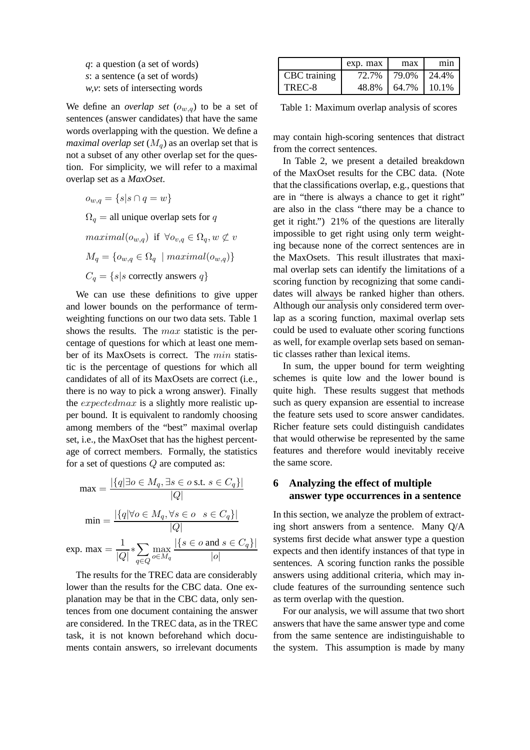|  | q: a question (a set of words)      |  |  |
|--|-------------------------------------|--|--|
|  | s: a sentence (a set of words)      |  |  |
|  | $w, v$ : sets of intersecting words |  |  |

We define an *overlap set*  $(o_{w,q})$  to be a set of sentences (answer candidates) that have the same words overlapping with the question. We define a *maximal overlap set*  $(M_q)$  as an overlap set that is not a subset of any other overlap set for the question. For simplicity, we will refer to a maximal overlap set as a *MaxOset*.

 $o_{w,q} = \{s | s \cap q = w\}$ 

 $\Omega_q =$  all unique overlap sets for q

 $maximal(o_{w,q})$  if  $\forall o_{v,q} \in \Omega_q, w \not\subset v$  $M_q = \{o_{w,q} \in \Omega_q \mid maximal(o_{w,q})\}$ 

 $C_q = \{s | s \text{ correctly answers } q\}$ 

We can use these definitions to give upper and lower bounds on the performance of termweighting functions on our two data sets. Table 1 shows the results. The max statistic is the percentage of questions for which at least one member of its MaxOsets is correct. The min statistic is the percentage of questions for which all candidates of all of its MaxOsets are correct (i.e., there is no way to pick a wrong answer). Finally the expectedmax is a slightly more realistic upper bound. It is equivalent to randomly choosing among members of the "best" maximal overlap set, i.e., the MaxOset that has the highest percentage of correct members. Formally, the statistics for a set of questions Q are computed as:

$$
\max = \frac{|\{q | \exists o \in M_q, \exists s \in o \text{ s.t. } s \in C_q\}|}{|Q|}
$$

$$
\min = \frac{|\{q | \forall o \in M_q, \forall s \in o \quad s \in C_q\}|}{|Q|}
$$

$$
\exp. \max = \frac{1}{|Q|} * \sum_{q \in Q} \max_{o \in M_q} \frac{|\{s \in o \text{ and } s \in C_q\}|}{|o|}
$$

The results for the TREC data are considerably lower than the results for the CBC data. One explanation may be that in the CBC data, only sentences from one document containing the answer are considered. In the TREC data, as in the TREC task, it is not known beforehand which documents contain answers, so irrelevant documents

|              | exp. max | max      | m <sub>1</sub> n |
|--------------|----------|----------|------------------|
| CBC training | 72.7%    | 79.0%    | 124.4%           |
| TREC-8       | 48.8%    | $64.7\%$ | 10.1%            |

Table 1: Maximum overlap analysis of scores

may contain high-scoring sentences that distract from the correct sentences.

In Table 2, we present a detailed breakdown of the MaxOset results for the CBC data. (Note that the classifications overlap, e.g., questions that are in "there is always a chance to get it right" are also in the class "there may be a chance to get it right.") 21% of the questions are literally impossible to get right using only term weighting because none of the correct sentences are in the MaxOsets. This result illustrates that maximal overlap sets can identify the limitations of a scoring function by recognizing that some candidates will always be ranked higher than others. Although our analysis only considered term overlap as a scoring function, maximal overlap sets could be used to evaluate other scoring functions as well, for example overlap sets based on semantic classes rather than lexical items.

In sum, the upper bound for term weighting schemes is quite low and the lower bound is quite high. These results suggest that methods such as query expansion are essential to increase the feature sets used to score answer candidates. Richer feature sets could distinguish candidates that would otherwise be represented by the same features and therefore would inevitably receive the same score.

### **6 Analyzing the effect of multiple answer type occurrences in a sentence**

In this section, we analyze the problem of extracting short answers from a sentence. Many Q/A systems first decide what answer type a question expects and then identify instances of that type in sentences. A scoring function ranks the possible answers using additional criteria, which may include features of the surrounding sentence such as term overlap with the question.

For our analysis, we will assume that two short answers that have the same answer type and come from the same sentence are indistinguishable to the system. This assumption is made by many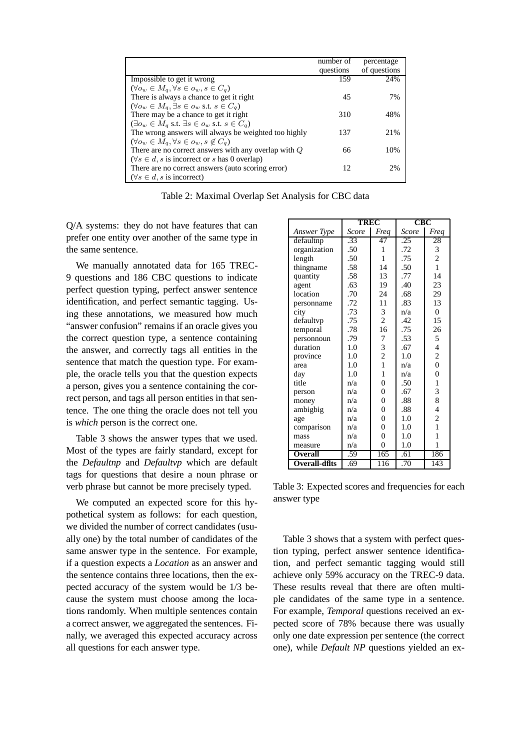|                                                                                  | number of | percentage   |
|----------------------------------------------------------------------------------|-----------|--------------|
|                                                                                  | questions | of questions |
| Impossible to get it wrong                                                       | 159       | 24%          |
| $(\forall o_w \in M_q, \forall s \in o_w, s \in C_q)$                            |           |              |
| There is always a chance to get it right                                         | 45        | 7%           |
| $(\forall o_w \in M_a, \exists s \in o_w \text{ s.t. } s \in C_a)$               |           |              |
| There may be a chance to get it right                                            | 310       | 48%          |
| $(\exists o_w \in M_q \text{ s.t. } \exists s \in o_w \text{ s.t. } s \in C_q)$  |           |              |
| The wrong answers will always be weighted too highly                             | 137       | 21%          |
| $(\forall o_w \in M_q, \forall s \in o_w, s \notin C_q)$                         |           |              |
| There are no correct answers with any overlap with $Q$                           | 66        | 10%          |
| $(\forall s \in d, s \text{ is incorrect or } s \text{ has } 0 \text{ overlap})$ |           |              |
| There are no correct answers (auto scoring error)                                | 12        | 2%           |
| $(\forall s \in d, s \text{ is incorrect})$                                      |           |              |

Table 2: Maximal Overlap Set Analysis for CBC data

Q/A systems: they do not have features that can prefer one entity over another of the same type in the same sentence.

We manually annotated data for 165 TREC-9 questions and 186 CBC questions to indicate perfect question typing, perfect answer sentence identification, and perfect semantic tagging. Using these annotations, we measured how much "answer confusion" remains if an oracle gives you the correct question type, a sentence containing the answer, and correctly tags all entities in the sentence that match the question type. For example, the oracle tells you that the question expects a person, gives you a sentence containing the correct person, and tags all person entities in that sentence. The one thing the oracle does not tell you is *which* person is the correct one.

Table 3 shows the answer types that we used. Most of the types are fairly standard, except for the *Defaultnp* and *Defaultvp* which are default tags for questions that desire a noun phrase or verb phrase but cannot be more precisely typed.

We computed an expected score for this hypothetical system as follows: for each question, we divided the number of correct candidates (usually one) by the total number of candidates of the same answer type in the sentence. For example, if a question expects a *Location* as an answer and the sentence contains three locations, then the expected accuracy of the system would be 1/3 because the system must choose among the locations randomly. When multiple sentences contain a correct answer, we aggregated the sentences. Finally, we averaged this expected accuracy across all questions for each answer type.

|                      | <b>TREC</b> |                | CBC   |                  |
|----------------------|-------------|----------------|-------|------------------|
| Answer Type          | Score       | Frea           | Score | Freq             |
| defaultnp            | .33         | 47             | .25   | 28               |
| organization         | .50         | 1              | .72   | 3                |
| length               | .50         | $\mathbf{1}$   | .75   | $\overline{c}$   |
| thingname            | .58         | 14             | .50   | $\mathbf{1}$     |
| quantity             | .58         | 13             | .77   | 14               |
| agent                | .63         | 19             | .40   | 23               |
| location             | .70         | 24             | .68   | 29               |
| personname           | .72         | 11             | .83   | 13               |
| city                 | .73         | 3              | n/a   | $\boldsymbol{0}$ |
| defaultvp            | .75         | $\overline{c}$ | .42   | 15               |
| temporal             | .78         | 16             | .75   | 26               |
| personnoun           | .79         | 7              | .53   | 5                |
| duration             | 1.0         | 3              | .67   | $\overline{4}$   |
| province             | 1.0         | $\overline{c}$ | 1.0   | $\overline{c}$   |
| area                 | 1.0         | $\mathbf{1}$   | n/a   | $\overline{0}$   |
| day                  | 1.0         | $\mathbf{1}$   | n/a   | $\overline{0}$   |
| title                | n/a         | $\theta$       | .50   | $\mathbf{1}$     |
| person               | n/a         | $\overline{0}$ | .67   | 3                |
| money                | n/a         | $\overline{0}$ | .88   | 8                |
| ambigbig             | n/a         | $\theta$       | .88   | 4                |
| age                  | n/a         | $\overline{0}$ | 1.0   | $\overline{c}$   |
| comparison           | n/a         | $\overline{0}$ | 1.0   | $\mathbf{1}$     |
| mass                 | n/a         | $\theta$       | 1.0   | 1                |
| measure              | n/a         | $\theta$       | 1.0   | 1                |
| <b>Overall</b>       | .59         | 165            | .61   | 186              |
| <b>Overall-dflts</b> | .69         | 116            | .70   | 143              |

Table 3: Expected scores and frequencies for each answer type

Table 3 shows that a system with perfect question typing, perfect answer sentence identification, and perfect semantic tagging would still achieve only 59% accuracy on the TREC-9 data. These results reveal that there are often multiple candidates of the same type in a sentence. For example, *Temporal* questions received an expected score of 78% because there was usually only one date expression per sentence (the correct one), while *Default NP* questions yielded an ex